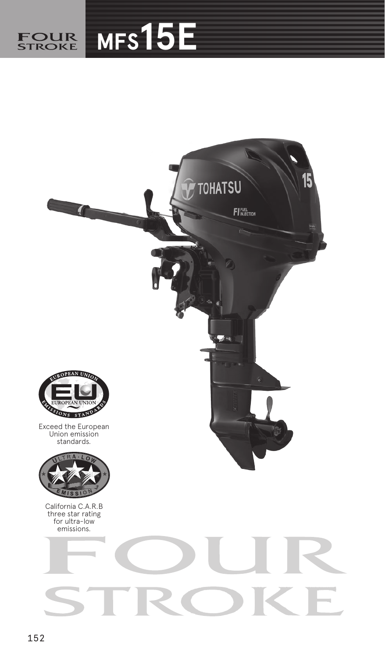

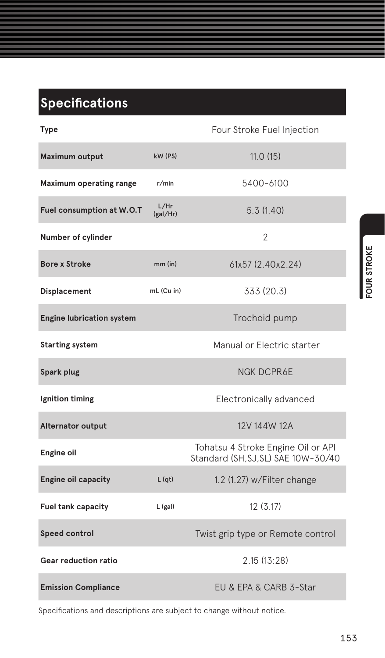## **Specifications**

| Type                             |                  | Four Stroke Fuel Injection                                                |
|----------------------------------|------------------|---------------------------------------------------------------------------|
| Maximum output                   | kW (PS)          | 11.0(15)                                                                  |
| <b>Maximum operating range</b>   | r/min            | 5400-6100                                                                 |
| Fuel consumption at W.O.T        | L/Hr<br>(gal/Hr) | 5.3(1.40)                                                                 |
| Number of cylinder               |                  | $\overline{\phantom{a}}$                                                  |
| <b>Bore x Stroke</b>             | $mm$ (in)        | 61x57 (2.40x2.24)                                                         |
| Displacement                     | mL (Cu in)       | 333 (20.3)                                                                |
| <b>Engine lubrication system</b> |                  | Trochoid pump                                                             |
| <b>Starting system</b>           |                  | Manual or Electric starter                                                |
| Spark plug                       |                  | <b>NGK DCPR6E</b>                                                         |
| Ignition timing                  |                  | Electronically advanced                                                   |
| <b>Alternator output</b>         |                  | 12V 144W 12A                                                              |
| Engine oil                       |                  | Tohatsu 4 Stroke Engine Oil or API<br>Standard (SH, SJ, SL) SAE 10W-30/40 |
| <b>Engine oil capacity</b>       | L(qt)            | 1.2 (1.27) w/Filter change                                                |
| Fuel tank capacity               | L (gal)          | 12(3.17)                                                                  |
| Speed control                    |                  | Twist grip type or Remote control                                         |
| <b>Gear reduction ratio</b>      |                  | 2.15(13:28)                                                               |
| <b>Emission Compliance</b>       |                  | EU & EPA & CARB 3-Star                                                    |

Specifications and descriptions are subject to change without notice.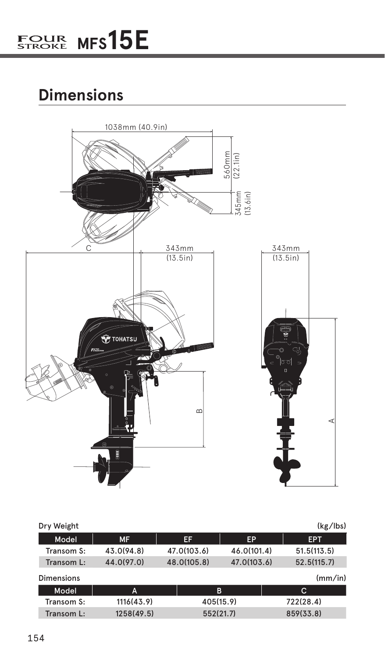## **Dimensions**



| Dry Weight        |            |             |             |             | (kg/1bs) |
|-------------------|------------|-------------|-------------|-------------|----------|
| Model             | <b>MF</b>  | EF          | EP          | <b>EPT</b>  |          |
| Transom S:        | 43.0(94.8) | 47.0(103.6) | 46.0(101.4) | 51.5(113.5) |          |
| Transom L:        | 44.0(97.0) | 48.0(105.8) | 47.0(103.6) | 52.5(115.7) |          |
| <b>Dimensions</b> |            |             |             |             | (mm/in)  |
| Model             | A          |             | в           | c           |          |
| Transom S:        | 1116(43.9) |             | 405(15.9)   | 722(28.4)   |          |
| Transom L:        | 1258(49.5) |             | 552(21.7)   | 859(33.8)   |          |